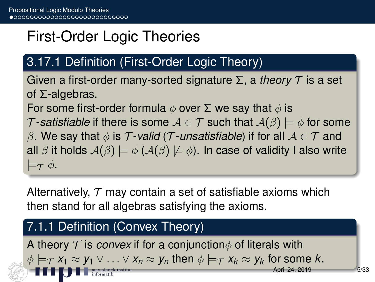## First-Order Logic Theories

### 3.17.1 Definition (First-Order Logic Theory)

Given a first-order many-sorted signature Σ, a *theory* T is a set of Σ-algebras.

For some first-order formula  $\phi$  over  $\Sigma$  we say that  $\phi$  is

T-satisfiable if there is some  $A \in \mathcal{T}$  such that  $A(\beta) \models \phi$  for some

β. We say that  $\phi$  is T-valid (T-unsatisfiable) if for all  $A \in T$  and all  $\beta$  it holds  $A(\beta) \models \phi$  ( $A(\beta) \not\models \phi$ ). In case of validity I also write  $\models_{\mathcal{T}} \phi.$ 

Alternatively,  $\tau$  may contain a set of satisfiable axioms which then stand for all algebras satisfying the axioms.

#### 7.1.1 Definition (Convex Theory)

A theory  $\tau$  is *convex* if for a conjunction  $\phi$  of literals with  $\phi \models_\mathcal{T} x_1 \approx y_1 \vee \ldots \vee x_n \approx y_n$  then  $\phi \models_\mathcal{T} x_k \approx y_k$  for some k.  $h$ il 24, 2019  $h$  5/33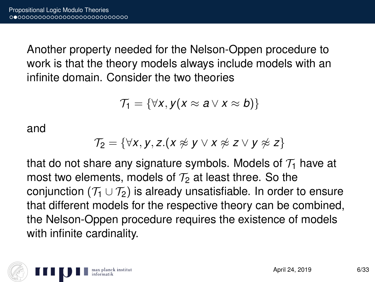Another property needed for the Nelson-Oppen procedure to work is that the theory models always include models with an infinite domain. Consider the two theories

$$
\mathcal{T}_1 = \{ \forall x, y(x \approx a \vee x \approx b) \}
$$

and

$$
\mathcal{T}_2 = \{ \forall x, y, z. (x \not\approx y \lor x \not\approx z \lor y \not\approx z \}
$$

that do not share any signature symbols. Models of  $\mathcal{T}_1$  have at most two elements, models of  $T_2$  at least three. So the conjunction ( $\mathcal{T}_1 \cup \mathcal{T}_2$ ) is already unsatisfiable. In order to ensure that different models for the respective theory can be combined, the Nelson-Oppen procedure requires the existence of models with infinite cardinality.

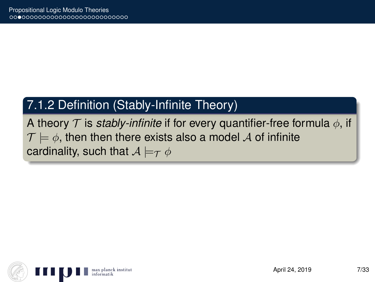### 7.1.2 Definition (Stably-Infinite Theory)

A theory  $\mathcal T$  is *stably-infinite* if for every quantifier-free formula  $\phi$ , if  $\mathcal{T} \models \phi$ , then then there exists also a model A of infinite cardinality, such that  $A \models_{\mathcal{T}} \phi$ 

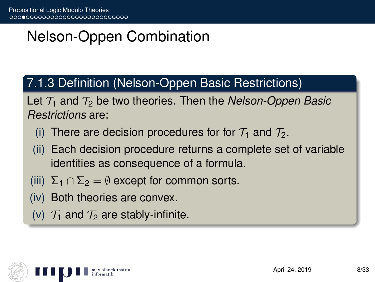# Nelson-Oppen Combination

### 7.1.3 Definition (Nelson-Oppen Basic Restrictions)

Let  $\mathcal{T}_1$  and  $\mathcal{T}_2$  be two theories. Then the *Nelson-Oppen Basic Restrictions* are:

- (i) There are decision procedures for for  $\mathcal{T}_1$  and  $\mathcal{T}_2$ .
- (ii) Each decision procedure returns a complete set of variable identities as consequence of a formula.
- (iii)  $\Sigma_1 \cap \Sigma_2 = \emptyset$  except for common sorts.
- (iv) Both theories are convex.
- (v)  $\mathcal{T}_1$  and  $\mathcal{T}_2$  are stably-infinite.

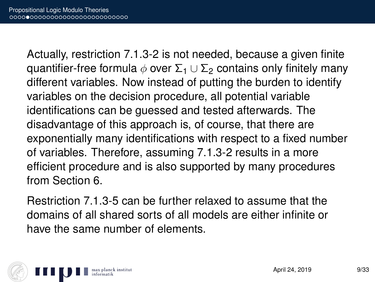Actually, restriction 7.1.3-2 is not needed, because a given finite quantifier-free formula  $\phi$  over  $\Sigma_1 \cup \Sigma_2$  contains only finitely many different variables. Now instead of putting the burden to identify variables on the decision procedure, all potential variable identifications can be guessed and tested afterwards. The disadvantage of this approach is, of course, that there are exponentially many identifications with respect to a fixed number of variables. Therefore, assuming 7.1.3-2 results in a more efficient procedure and is also supported by many procedures from Section 6.

Restriction 7.1.3-5 can be further relaxed to assume that the domains of all shared sorts of all models are either infinite or have the same number of elements.

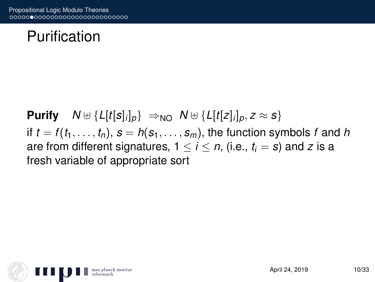### Purification

**Purify**  $N \oplus \{L[t[s]_i]_p\} \Rightarrow_{NO} N \oplus \{L[t[z]_i]_p, z \approx s\}$ if  $t = f(t_1, \ldots, t_n)$ ,  $s = h(s_1, \ldots, s_m)$ , the function symbols f and h are from different signatures,  $1 \le i \le n$ , (i.e.,  $t_i = s$ ) and z is a fresh variable of appropriate sort

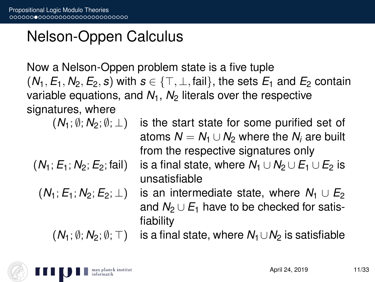## Nelson-Oppen Calculus

Now a Nelson-Oppen problem state is a five tuple  $(N_1, E_1, N_2, E_2, s)$  with  $s \in \{\top, \bot, \text{fail}\}$ , the sets  $E_1$  and  $E_2$  contain variable equations, and  $N_1$ ,  $N_2$  literals over the respective signatures, where

fiability

$$
(N_1; \emptyset; N_2; \emptyset; \perp)
$$
 is

$$
(N_1; E_1; N_2; E_2; \text{fail})
$$

$$
(N_1;E_1;N_2;E_2;\perp)
$$

the start state for some purified set of atoms  $N = N_1 \cup N_2$  where the  $N_i$  are built from the respective signatures only is a final state, where  $N_1 \cup N_2 \cup E_1 \cup E_2$  is unsatisfiable  $\overline{h}$  is an intermediate state, where  $N_1 \cup E_2$ and  $N_2 \cup E_1$  have to be checked for satis-

 $(N_1; \emptyset; N_2; \emptyset; \top)$  is a final state, where  $N_1 \cup N_2$  is satisfiable

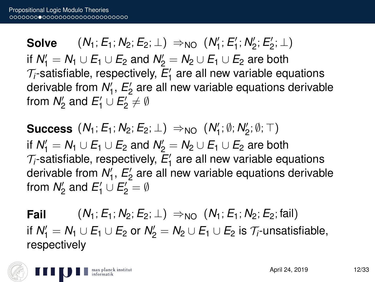**Solve**  $(N_1; E_1; N_2; E_2; \perp) \Rightarrow_{NO} (N'_1; E'_1; N'_2; E'_2; \perp)$ if  $N'_1 = N_1 \cup E_1 \cup E_2$  and  $N'_2 = N_2 \cup E_1 \cup E_2$  are both  $\mathcal{T}_i$ -satisfiable, respectively,  $E'_1$  are all new variable equations derivable from  $N_1'$ ,  $E_2'$  are all new variable equations derivable from  $N'_2$  and  $E'_1 \cup E'_2 \neq \emptyset$ 

 $\textbf{Success} \, \left(N_1; E_1; N_2; E_2; \perp \right) \Rightarrow_{\text{NO}} \, \left(N_1'; \emptyset; N_2'; \emptyset; \top \right)$ if  $N'_1 = N_1 \cup E_1 \cup E_2$  and  $N'_2 = N_2 \cup E_1 \cup E_2$  are both  $\mathcal{T}_i$ -satisfiable, respectively,  $E'_1$  are all new variable equations derivable from  $N_1'$ ,  $E_2'$  are all new variable equations derivable from  $N'_2$  and  $E'_1 \cup E'_2 = \emptyset$ 

**Fail**  $(N_1; E_1; N_2; E_2; \perp) \Rightarrow_{N_1} (N_1; E_1; N_2; E_2; \text{fail})$ if  $N'_1 = N_1 \cup E_1 \cup E_2$  or  $N'_2 = N_2 \cup E_1 \cup E_2$  is  $\mathcal{T}_i$ -unsatisfiable, respectively

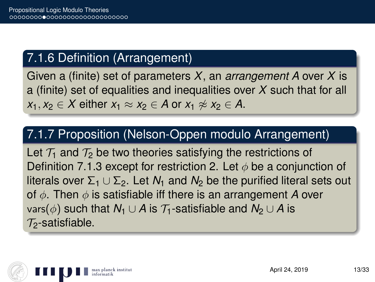### 7.1.6 Definition (Arrangement)

Given a (finite) set of parameters *X*, an *arrangement A* over *X* is a (finite) set of equalities and inequalities over *X* such that for all *x*<sub>1</sub>, *x*<sub>2</sub> ∈ *X* either *x*<sub>1</sub> ≈ *x*<sub>2</sub> ∈ *A* or *x*<sub>1</sub>  $\neq$  *x*<sub>2</sub> ∈ *A*.

#### 7.1.7 Proposition (Nelson-Oppen modulo Arrangement)

Let  $\mathcal{T}_1$  and  $\mathcal{T}_2$  be two theories satisfying the restrictions of Definition 7.1.3 except for restriction 2. Let  $\phi$  be a conjunction of literals over  $\Sigma_1 \cup \Sigma_2$ . Let *N*<sub>1</sub> and *N*<sub>2</sub> be the purified literal sets out of φ. Then φ is satisfiable iff there is an arrangement *A* over vars( $\phi$ ) such that  $N_1 \cup A$  is  $\mathcal{T}_1$ -satisfiable and  $N_2 \cup A$  is  $\mathcal{T}_2$ -satisfiable.